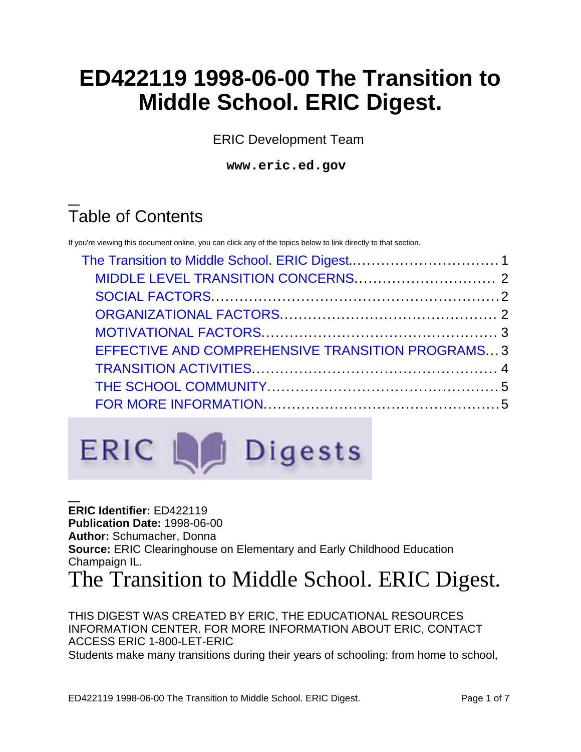# **ED422119 1998-06-00 The Transition to Middle School. ERIC Digest.**

ERIC Development Team

**www.eric.ed.gov**

# Table of Contents

If you're viewing this document online, you can click any of the topics below to link directly to that section.

| EFFECTIVE AND COMPREHENSIVE TRANSITION PROGRAMS3 |  |
|--------------------------------------------------|--|
|                                                  |  |
|                                                  |  |
|                                                  |  |
|                                                  |  |



**ERIC Identifier:** ED422119 **Publication Date:** 1998-06-00 **Author:** Schumacher, Donna **Source:** ERIC Clearinghouse on Elementary and Early Childhood Education Champaign IL.

<span id="page-0-0"></span>The Transition to Middle School. ERIC Digest.

THIS DIGEST WAS CREATED BY ERIC, THE EDUCATIONAL RESOURCES INFORMATION CENTER. FOR MORE INFORMATION ABOUT ERIC, CONTACT ACCESS ERIC 1-800-LET-ERIC Students make many transitions during their years of schooling: from home to school,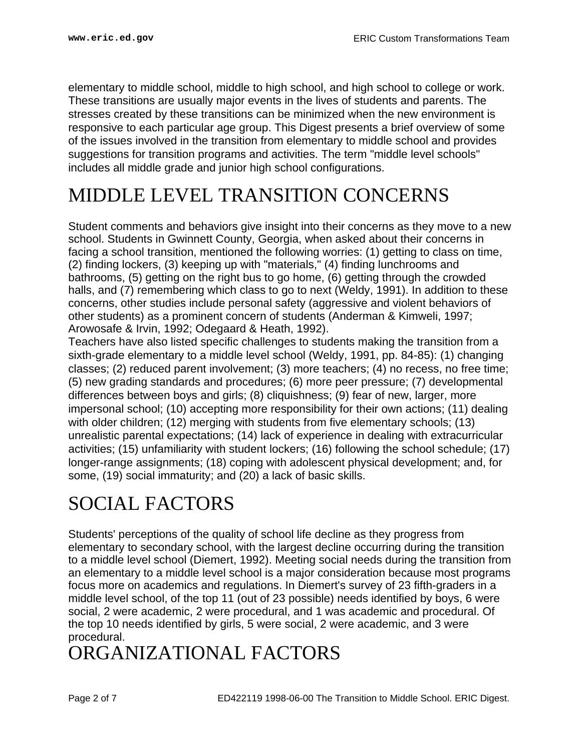elementary to middle school, middle to high school, and high school to college or work. These transitions are usually major events in the lives of students and parents. The stresses created by these transitions can be minimized when the new environment is responsive to each particular age group. This Digest presents a brief overview of some of the issues involved in the transition from elementary to middle school and provides suggestions for transition programs and activities. The term "middle level schools" includes all middle grade and junior high school configurations.

## <span id="page-1-0"></span>MIDDLE LEVEL TRANSITION CONCERNS

Student comments and behaviors give insight into their concerns as they move to a new school. Students in Gwinnett County, Georgia, when asked about their concerns in facing a school transition, mentioned the following worries: (1) getting to class on time, (2) finding lockers, (3) keeping up with "materials," (4) finding lunchrooms and bathrooms, (5) getting on the right bus to go home, (6) getting through the crowded halls, and (7) remembering which class to go to next (Weldy, 1991). In addition to these concerns, other studies include personal safety (aggressive and violent behaviors of other students) as a prominent concern of students (Anderman & Kimweli, 1997; Arowosafe & Irvin, 1992; Odegaard & Heath, 1992).

Teachers have also listed specific challenges to students making the transition from a sixth-grade elementary to a middle level school (Weldy, 1991, pp. 84-85): (1) changing classes; (2) reduced parent involvement; (3) more teachers; (4) no recess, no free time; (5) new grading standards and procedures; (6) more peer pressure; (7) developmental differences between boys and girls; (8) cliquishness; (9) fear of new, larger, more impersonal school; (10) accepting more responsibility for their own actions; (11) dealing with older children; (12) merging with students from five elementary schools; (13) unrealistic parental expectations; (14) lack of experience in dealing with extracurricular activities; (15) unfamiliarity with student lockers; (16) following the school schedule; (17) longer-range assignments; (18) coping with adolescent physical development; and, for some, (19) social immaturity; and (20) a lack of basic skills.

# <span id="page-1-1"></span>SOCIAL FACTORS

Students' perceptions of the quality of school life decline as they progress from elementary to secondary school, with the largest decline occurring during the transition to a middle level school (Diemert, 1992). Meeting social needs during the transition from an elementary to a middle level school is a major consideration because most programs focus more on academics and regulations. In Diemert's survey of 23 fifth-graders in a middle level school, of the top 11 (out of 23 possible) needs identified by boys, 6 were social, 2 were academic, 2 were procedural, and 1 was academic and procedural. Of the top 10 needs identified by girls, 5 were social, 2 were academic, and 3 were procedural.

# <span id="page-1-2"></span>ORGANIZATIONAL FACTORS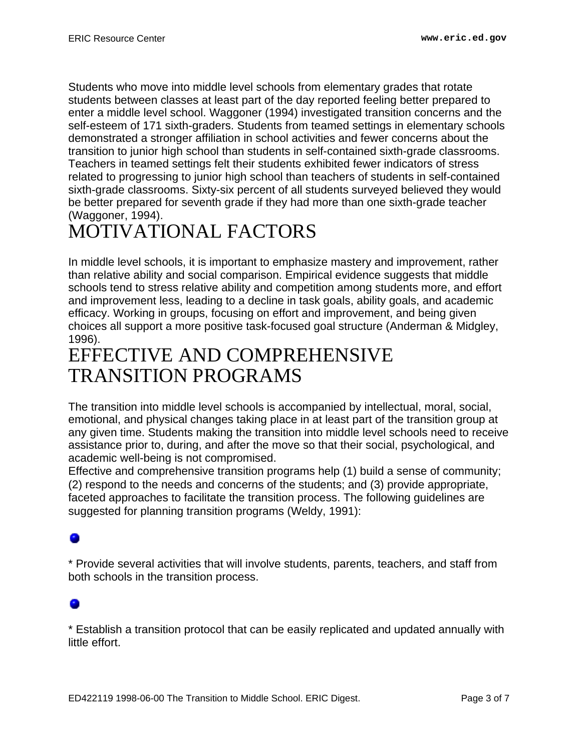Students who move into middle level schools from elementary grades that rotate students between classes at least part of the day reported feeling better prepared to enter a middle level school. Waggoner (1994) investigated transition concerns and the self-esteem of 171 sixth-graders. Students from teamed settings in elementary schools demonstrated a stronger affiliation in school activities and fewer concerns about the transition to junior high school than students in self-contained sixth-grade classrooms. Teachers in teamed settings felt their students exhibited fewer indicators of stress related to progressing to junior high school than teachers of students in self-contained sixth-grade classrooms. Sixty-six percent of all students surveyed believed they would be better prepared for seventh grade if they had more than one sixth-grade teacher (Waggoner, 1994).

# <span id="page-2-0"></span>MOTIVATIONAL FACTORS

In middle level schools, it is important to emphasize mastery and improvement, rather than relative ability and social comparison. Empirical evidence suggests that middle schools tend to stress relative ability and competition among students more, and effort and improvement less, leading to a decline in task goals, ability goals, and academic efficacy. Working in groups, focusing on effort and improvement, and being given choices all support a more positive task-focused goal structure (Anderman & Midgley, 1996).

## <span id="page-2-1"></span>EFFECTIVE AND COMPREHENSIVE TRANSITION PROGRAMS

The transition into middle level schools is accompanied by intellectual, moral, social, emotional, and physical changes taking place in at least part of the transition group at any given time. Students making the transition into middle level schools need to receive assistance prior to, during, and after the move so that their social, psychological, and academic well-being is not compromised.

Effective and comprehensive transition programs help (1) build a sense of community; (2) respond to the needs and concerns of the students; and (3) provide appropriate, faceted approaches to facilitate the transition process. The following guidelines are suggested for planning transition programs (Weldy, 1991):

\* Provide several activities that will involve students, parents, teachers, and staff from both schools in the transition process.

\* Establish a transition protocol that can be easily replicated and updated annually with little effort.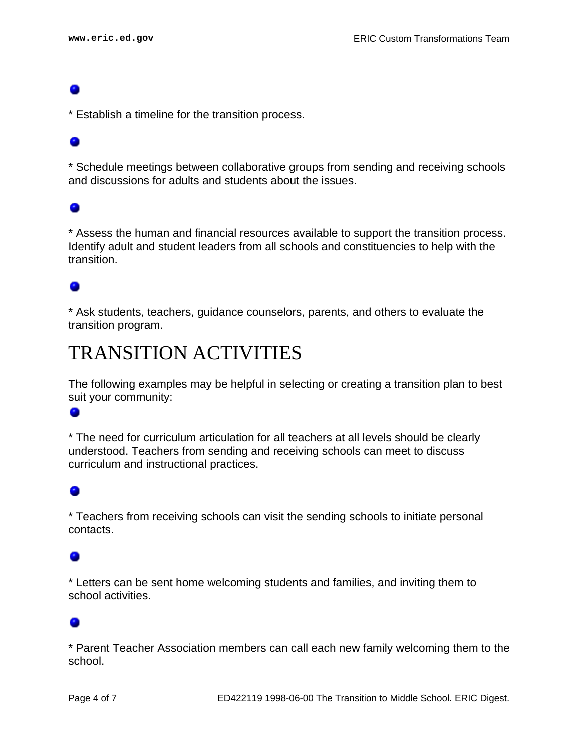\* Establish a timeline for the transition process.

### 0

\* Schedule meetings between collaborative groups from sending and receiving schools and discussions for adults and students about the issues.

### 0

\* Assess the human and financial resources available to support the transition process. Identify adult and student leaders from all schools and constituencies to help with the transition.

### 0

\* Ask students, teachers, guidance counselors, parents, and others to evaluate the transition program.

## <span id="page-3-0"></span>TRANSITION ACTIVITIES

The following examples may be helpful in selecting or creating a transition plan to best suit your community:

### ۰

\* The need for curriculum articulation for all teachers at all levels should be clearly understood. Teachers from sending and receiving schools can meet to discuss curriculum and instructional practices.

### $\bullet$

\* Teachers from receiving schools can visit the sending schools to initiate personal contacts.

\* Letters can be sent home welcoming students and families, and inviting them to school activities.

### 0

\* Parent Teacher Association members can call each new family welcoming them to the school.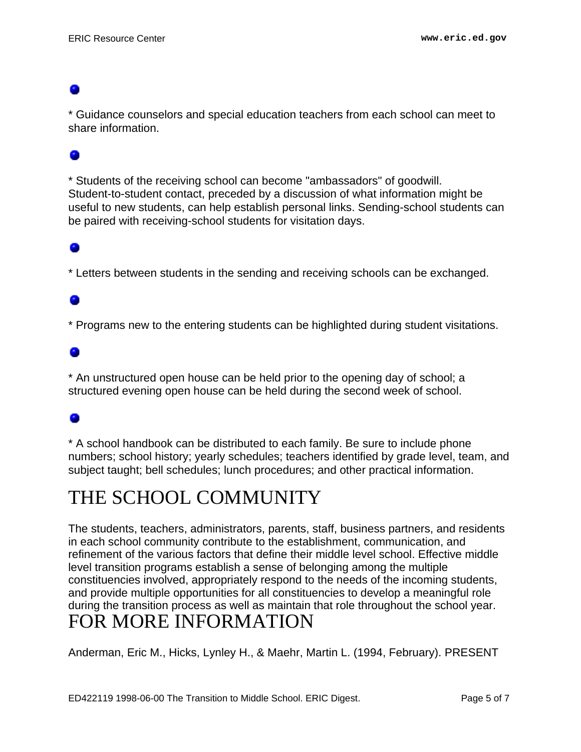\* Guidance counselors and special education teachers from each school can meet to share information.

\* Students of the receiving school can become "ambassadors" of goodwill. Student-to-student contact, preceded by a discussion of what information might be useful to new students, can help establish personal links. Sending-school students can be paired with receiving-school students for visitation days.

\* Letters between students in the sending and receiving schools can be exchanged.

\* Programs new to the entering students can be highlighted during student visitations.

### ۰

\* An unstructured open house can be held prior to the opening day of school; a structured evening open house can be held during the second week of school.

### ۰

\* A school handbook can be distributed to each family. Be sure to include phone numbers; school history; yearly schedules; teachers identified by grade level, team, and subject taught; bell schedules; lunch procedures; and other practical information.

## <span id="page-4-0"></span>THE SCHOOL COMMUNITY

The students, teachers, administrators, parents, staff, business partners, and residents in each school community contribute to the establishment, communication, and refinement of the various factors that define their middle level school. Effective middle level transition programs establish a sense of belonging among the multiple constituencies involved, appropriately respond to the needs of the incoming students, and provide multiple opportunities for all constituencies to develop a meaningful role during the transition process as well as maintain that role throughout the school year. FOR MORE INFORMATION

<span id="page-4-1"></span>Anderman, Eric M., Hicks, Lynley H., & Maehr, Martin L. (1994, February). PRESENT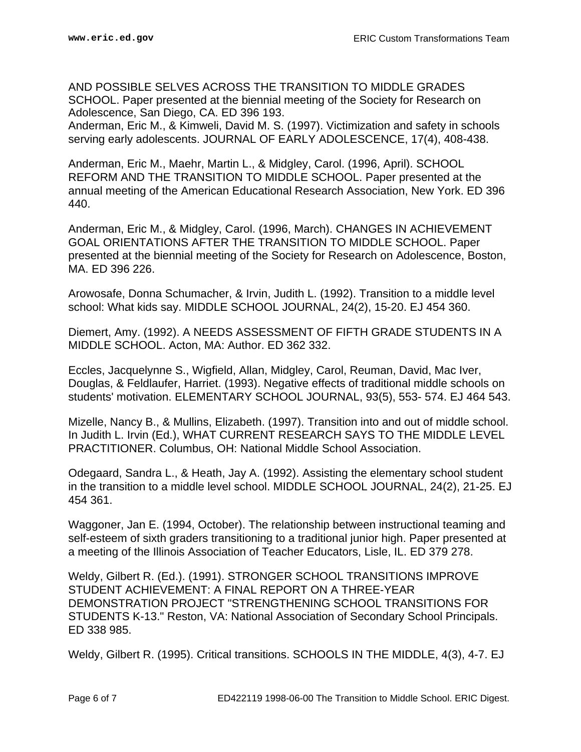AND POSSIBLE SELVES ACROSS THE TRANSITION TO MIDDLE GRADES SCHOOL. Paper presented at the biennial meeting of the Society for Research on Adolescence, San Diego, CA. ED 396 193.

Anderman, Eric M., & Kimweli, David M. S. (1997). Victimization and safety in schools serving early adolescents. JOURNAL OF EARLY ADOLESCENCE, 17(4), 408-438.

Anderman, Eric M., Maehr, Martin L., & Midgley, Carol. (1996, April). SCHOOL REFORM AND THE TRANSITION TO MIDDLE SCHOOL. Paper presented at the annual meeting of the American Educational Research Association, New York. ED 396 440.

Anderman, Eric M., & Midgley, Carol. (1996, March). CHANGES IN ACHIEVEMENT GOAL ORIENTATIONS AFTER THE TRANSITION TO MIDDLE SCHOOL. Paper presented at the biennial meeting of the Society for Research on Adolescence, Boston, MA. ED 396 226.

Arowosafe, Donna Schumacher, & Irvin, Judith L. (1992). Transition to a middle level school: What kids say. MIDDLE SCHOOL JOURNAL, 24(2), 15-20. EJ 454 360.

Diemert, Amy. (1992). A NEEDS ASSESSMENT OF FIFTH GRADE STUDENTS IN A MIDDLE SCHOOL. Acton, MA: Author. ED 362 332.

Eccles, Jacquelynne S., Wigfield, Allan, Midgley, Carol, Reuman, David, Mac Iver, Douglas, & Feldlaufer, Harriet. (1993). Negative effects of traditional middle schools on students' motivation. ELEMENTARY SCHOOL JOURNAL, 93(5), 553- 574. EJ 464 543.

Mizelle, Nancy B., & Mullins, Elizabeth. (1997). Transition into and out of middle school. In Judith L. Irvin (Ed.), WHAT CURRENT RESEARCH SAYS TO THE MIDDLE LEVEL PRACTITIONER. Columbus, OH: National Middle School Association.

Odegaard, Sandra L., & Heath, Jay A. (1992). Assisting the elementary school student in the transition to a middle level school. MIDDLE SCHOOL JOURNAL, 24(2), 21-25. EJ 454 361.

Waggoner, Jan E. (1994, October). The relationship between instructional teaming and self-esteem of sixth graders transitioning to a traditional junior high. Paper presented at a meeting of the Illinois Association of Teacher Educators, Lisle, IL. ED 379 278.

Weldy, Gilbert R. (Ed.). (1991). STRONGER SCHOOL TRANSITIONS IMPROVE STUDENT ACHIEVEMENT: A FINAL REPORT ON A THREE-YEAR DEMONSTRATION PROJECT "STRENGTHENING SCHOOL TRANSITIONS FOR STUDENTS K-13." Reston, VA: National Association of Secondary School Principals. ED 338 985.

Weldy, Gilbert R. (1995). Critical transitions. SCHOOLS IN THE MIDDLE, 4(3), 4-7. EJ